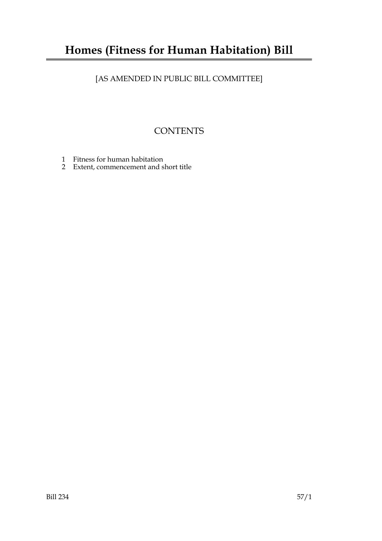## **Homes (Fitness for Human Habitation) Bill**

### [AS AMENDED IN PUBLIC BILL COMMITTEE]

### **CONTENTS**

- 1 Fitness for human habitation
- 2 Extent, commencement and short title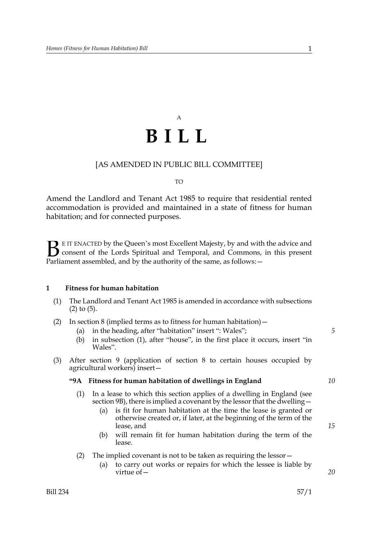# A **BILL**

#### [AS AMENDED IN PUBLIC BILL COMMITTEE]

#### $T<sub>O</sub>$

Amend the Landlord and Tenant Act 1985 to require that residential rented accommodation is provided and maintained in a state of fitness for human habitation; and for connected purposes.

E IT ENACTED by the Queen's most Excellent Majesty, by and with the advice and consent of the Lords Spiritual and Temporal, and Commons, in this present **B** E IT ENACTED by the Queen's most Excellent Majesty, by and with consent of the Lords Spiritual and Temporal, and Commons, Parliament assembled, and by the authority of the same, as follows:  $-$ 

#### **1 Fitness for human habitation**

- (1) The Landlord and Tenant Act 1985 is amended in accordance with subsections (2) to (5).
- (2) In section 8 (implied terms as to fitness for human habitation)  $-$ 
	- (a) in the heading, after "habitation" insert ": Wales";
	- (b) in subsection (1), after "house", in the first place it occurs, insert "in Wales".
- (3) After section 9 (application of section 8 to certain houses occupied by agricultural workers) insert—

#### **"9A Fitness for human habitation of dwellings in England**

- (1) In a lease to which this section applies of a dwelling in England (see section 9B), there is implied a covenant by the lessor that the dwelling—
	- (a) is fit for human habitation at the time the lease is granted or otherwise created or, if later, at the beginning of the term of the lease, and
	- (b) will remain fit for human habitation during the term of the lease.
- (2) The implied covenant is not to be taken as requiring the lessor  $-$ 
	- (a) to carry out works or repairs for which the lessee is liable by virtue of—

*20*

*5*

*15*

*10*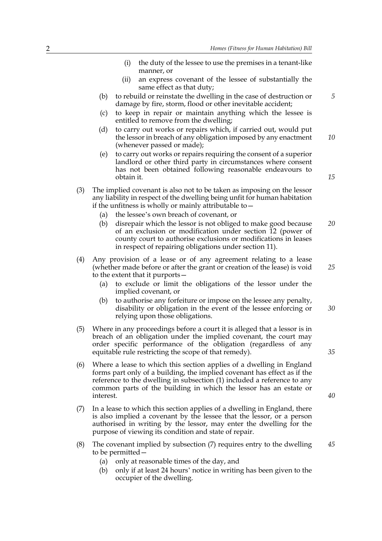- (i) the duty of the lessee to use the premises in a tenant-like manner, or (ii) an express covenant of the lessee of substantially the same effect as that duty; (b) to rebuild or reinstate the dwelling in the case of destruction or damage by fire, storm, flood or other inevitable accident; (c) to keep in repair or maintain anything which the lessee is entitled to remove from the dwelling; (d) to carry out works or repairs which, if carried out, would put the lessor in breach of any obligation imposed by any enactment (whenever passed or made); (e) to carry out works or repairs requiring the consent of a superior landlord or other third party in circumstances where consent has not been obtained following reasonable endeavours to obtain it. (3) The implied covenant is also not to be taken as imposing on the lessor any liability in respect of the dwelling being unfit for human habitation if the unfitness is wholly or mainly attributable to  $-$ (a) the lessee's own breach of covenant, or (b) disrepair which the lessor is not obliged to make good because of an exclusion or modification under section 12 (power of county court to authorise exclusions or modifications in leases in respect of repairing obligations under section 11). (4) Any provision of a lease or of any agreement relating to a lease (whether made before or after the grant or creation of the lease) is void to the extent that it purports— (a) to exclude or limit the obligations of the lessor under the implied covenant, or (b) to authorise any forfeiture or impose on the lessee any penalty, disability or obligation in the event of the lessee enforcing or *10 20 25 30*
- (5) Where in any proceedings before a court it is alleged that a lessor is in breach of an obligation under the implied covenant, the court may order specific performance of the obligation (regardless of any equitable rule restricting the scope of that remedy).
- (6) Where a lease to which this section applies of a dwelling in England forms part only of a building, the implied covenant has effect as if the reference to the dwelling in subsection (1) included a reference to any common parts of the building in which the lessor has an estate or interest.
- (7) In a lease to which this section applies of a dwelling in England, there is also implied a covenant by the lessee that the lessor, or a person authorised in writing by the lessor, may enter the dwelling for the purpose of viewing its condition and state of repair.
- (8) The covenant implied by subsection (7) requires entry to the dwelling to be permitted— *45*
	- (a) only at reasonable times of the day, and

relying upon those obligations.

(b) only if at least 24 hours' notice in writing has been given to the occupier of the dwelling.

*15*

*5*

*35*

*40*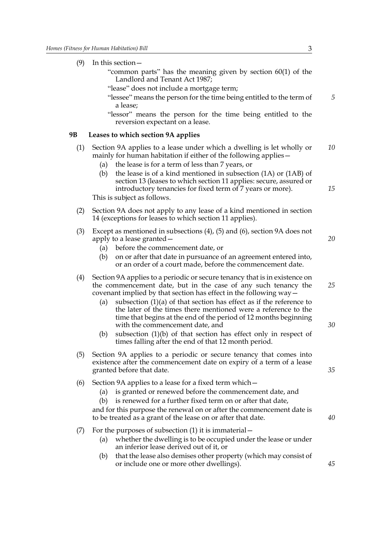| (9)       | In this section $-$<br>"common parts" has the meaning given by section $60(1)$ of the<br>Landlord and Tenant Act 1987;<br>"lease" does not include a mortgage term;<br>"lessee" means the person for the time being entitled to the term of<br>a lease;<br>"lessor" means the person for the time being entitled to the<br>reversion expectant on a lease.                                                                                                                    | 5        |  |
|-----------|-------------------------------------------------------------------------------------------------------------------------------------------------------------------------------------------------------------------------------------------------------------------------------------------------------------------------------------------------------------------------------------------------------------------------------------------------------------------------------|----------|--|
| <b>9B</b> | Leases to which section 9A applies                                                                                                                                                                                                                                                                                                                                                                                                                                            |          |  |
| (1)       | Section 9A applies to a lease under which a dwelling is let wholly or<br>mainly for human habitation if either of the following applies -<br>the lease is for a term of less than 7 years, or<br>(a)<br>the lease is of a kind mentioned in subsection (1A) or (1AB) of<br>(b)<br>section 13 (leases to which section 11 applies: secure, assured or                                                                                                                          | 10       |  |
|           | introductory tenancies for fixed term of 7 years or more).<br>This is subject as follows.                                                                                                                                                                                                                                                                                                                                                                                     | 15       |  |
| (2)       | Section 9A does not apply to any lease of a kind mentioned in section<br>14 (exceptions for leases to which section 11 applies).                                                                                                                                                                                                                                                                                                                                              |          |  |
| (3)       | Except as mentioned in subsections $(4)$ , $(5)$ and $(6)$ , section 9A does not<br>apply to a lease granted –<br>before the commencement date, or<br>(a)<br>on or after that date in pursuance of an agreement entered into,<br>(b)<br>or an order of a court made, before the commencement date.                                                                                                                                                                            | 20       |  |
| (4)       | Section 9A applies to a periodic or secure tenancy that is in existence on<br>the commencement date, but in the case of any such tenancy the<br>covenant implied by that section has effect in the following $way$ –<br>subsection $(1)(a)$ of that section has effect as if the reference to<br>(a)<br>the later of the times there mentioned were a reference to the<br>time that begins at the end of the period of 12 months beginning<br>with the commencement date, and | 25<br>30 |  |
|           | subsection $(1)(b)$ of that section has effect only in respect of<br>(b)<br>times falling after the end of that 12 month period.                                                                                                                                                                                                                                                                                                                                              |          |  |
| (5)       | Section 9A applies to a periodic or secure tenancy that comes into<br>existence after the commencement date on expiry of a term of a lease<br>granted before that date.                                                                                                                                                                                                                                                                                                       |          |  |
| (6)       | Section 9A applies to a lease for a fixed term which –<br>is granted or renewed before the commencement date, and<br>(a)<br>is renewed for a further fixed term on or after that date,<br>(b)<br>and for this purpose the renewal on or after the commencement date is<br>to be treated as a grant of the lease on or after that date.                                                                                                                                        | 40       |  |
| (7)       | For the purposes of subsection $(1)$ it is immaterial $-$<br>whether the dwelling is to be occupied under the lease or under<br>(a)<br>an inferior lease derived out of it, or<br>that the lease also demises other property (which may consist of<br>(b)<br>or include one or more other dwellings).                                                                                                                                                                         | 45       |  |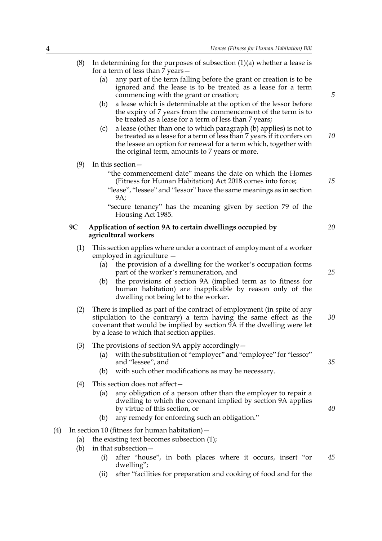- (8) In determining for the purposes of subsection  $(1)(a)$  whether a lease is for a term of less than 7 years— (a) any part of the term falling before the grant or creation is to be ignored and the lease is to be treated as a lease for a term commencing with the grant or creation; (b) a lease which is determinable at the option of the lessor before the expiry of 7 years from the commencement of the term is to be treated as a lease for a term of less than 7 years; (c) a lease (other than one to which paragraph (b) applies) is not to be treated as a lease for a term of less than 7 years if it confers on the lessee an option for renewal for a term which, together with the original term, amounts to 7 years or more. (9) In this section— "the commencement date" means the date on which the Homes (Fitness for Human Habitation) Act 2018 comes into force; "lease", "lessee" and "lessor" have the same meanings as in section 9A; "secure tenancy" has the meaning given by section 79 of the Housing Act 1985. **9C Application of section 9A to certain dwellings occupied by agricultural workers** (1) This section applies where under a contract of employment of a worker employed in agriculture — (a) the provision of a dwelling for the worker's occupation forms part of the worker's remuneration, and (b) the provisions of section 9A (implied term as to fitness for human habitation) are inapplicable by reason only of the dwelling not being let to the worker. (2) There is implied as part of the contract of employment (in spite of any stipulation to the contrary) a term having the same effect as the covenant that would be implied by section 9A if the dwelling were let by a lease to which that section applies. (3) The provisions of section 9A apply accordingly— (a) with the substitution of "employer" and "employee" for "lessor" and "lessee", and (b) with such other modifications as may be necessary. (4) This section does not affect— (a) any obligation of a person other than the employer to repair a dwelling to which the covenant implied by section 9A applies by virtue of this section, or (b) any remedy for enforcing such an obligation." (4) In section 10 (fitness for human habitation)— (a) the existing text becomes subsection (1); (b) in that subsection— (i) after "house", in both places where it occurs, insert "or dwelling"; *5 10 15 20 25 30 35 40 45*
	- (ii) after "facilities for preparation and cooking of food and for the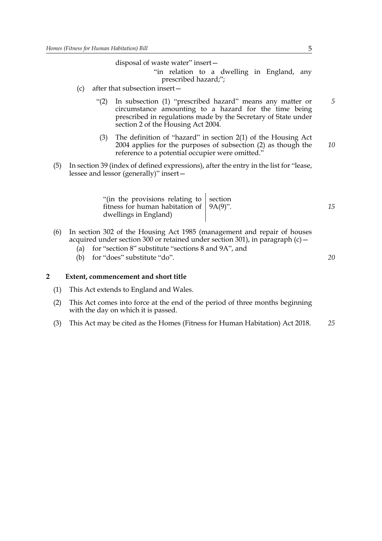disposal of waste water" insert—

- "in relation to a dwelling in England, any prescribed hazard;";
- (c) after that subsection insert—
	- "(2) In subsection (1) "prescribed hazard" means any matter or circumstance amounting to a hazard for the time being prescribed in regulations made by the Secretary of State under section 2 of the Housing Act 2004.
	- (3) The definition of "hazard" in section 2(1) of the Housing Act 2004 applies for the purposes of subsection (2) as though the reference to a potential occupier were omitted." *10*
- (5) In section 39 (index of defined expressions), after the entry in the list for "lease, lessee and lessor (generally)" insert—

| "(in the provisions relating to $\vert$ section<br>fitness for human habitation of $\vert$ 9A(9)".<br>dwellings in England) | 15 |
|-----------------------------------------------------------------------------------------------------------------------------|----|
|-----------------------------------------------------------------------------------------------------------------------------|----|

- (6) In section 302 of the Housing Act 1985 (management and repair of houses acquired under section 300 or retained under section 301), in paragraph  $(c)$  -
	- (a) for "section 8" substitute "sections 8 and 9A", and
	- (b) for "does" substitute "do".

#### **2 Extent, commencement and short title**

- (1) This Act extends to England and Wales.
- (2) This Act comes into force at the end of the period of three months beginning with the day on which it is passed.
- (3) This Act may be cited as the Homes (Fitness for Human Habitation) Act 2018. *25*

*5*

*20*